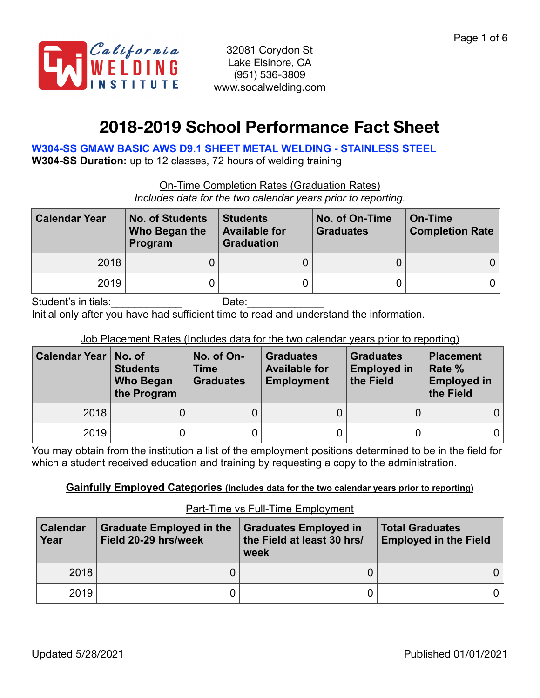

# **2018-2019 School Performance Fact Sheet**

**W304-SS GMAW BASIC AWS D9.1 SHEET METAL WELDING - STAINLESS STEEL** 

**W304-SS Duration:** up to 12 classes, 72 hours of welding training

On-Time Completion Rates (Graduation Rates)

*Includes data for the two calendar years prior to reporting.*

| <b>Calendar Year</b> | <b>No. of Students</b><br>Who Began the<br>Program | <b>Students</b><br><b>Available for</b><br><b>Graduation</b> | No. of On-Time<br><b>Graduates</b> | On-Time<br><b>Completion Rate</b> |  |
|----------------------|----------------------------------------------------|--------------------------------------------------------------|------------------------------------|-----------------------------------|--|
| 2018                 |                                                    |                                                              |                                    |                                   |  |
| 2019                 |                                                    |                                                              |                                    |                                   |  |

Student's initials:\_\_\_\_\_\_\_\_\_\_\_\_\_\_\_\_\_\_ Date:\_\_\_\_\_\_\_\_\_\_\_

Initial only after you have had sufficient time to read and understand the information.

Job Placement Rates (Includes data for the two calendar years prior to reporting)

| <b>Calendar Year</b> | No. of<br>No. of On-<br><b>Students</b><br><b>Time</b><br><b>Graduates</b><br><b>Who Began</b><br>the Program |  | <b>Graduates</b><br><b>Available for</b><br><b>Employment</b> | <b>Graduates</b><br><b>Employed in</b><br>the Field | <b>Placement</b><br>Rate %<br><b>Employed in</b><br>the Field |
|----------------------|---------------------------------------------------------------------------------------------------------------|--|---------------------------------------------------------------|-----------------------------------------------------|---------------------------------------------------------------|
| 2018                 |                                                                                                               |  |                                                               |                                                     |                                                               |
| 2019                 |                                                                                                               |  |                                                               |                                                     |                                                               |

You may obtain from the institution a list of the employment positions determined to be in the field for which a student received education and training by requesting a copy to the administration.

## **Gainfully Employed Categories (Includes data for the two calendar years prior to reporting)**

Part-Time vs Full-Time Employment

| <b>Calendar</b><br>Year | <b>Graduate Employed in the</b><br>Field 20-29 hrs/week | <b>Graduates Employed in</b><br>the Field at least 30 hrs/<br>week | <b>Total Graduates</b><br><b>Employed in the Field</b> |  |
|-------------------------|---------------------------------------------------------|--------------------------------------------------------------------|--------------------------------------------------------|--|
| 2018                    |                                                         |                                                                    |                                                        |  |
| 2019                    |                                                         |                                                                    |                                                        |  |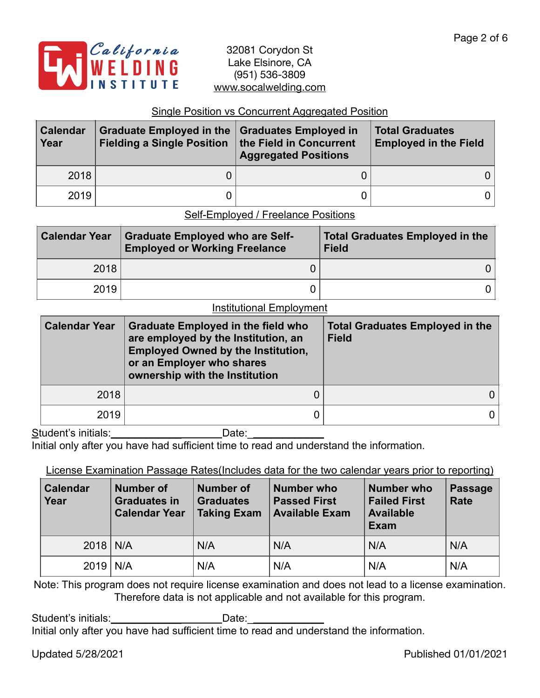

### Single Position vs Concurrent Aggregated Position

| <b>Calendar</b><br>Year | Graduate Employed in the Graduates Employed in<br>Fielding a Single Position   the Field in Concurrent | <b>Aggregated Positions</b> | <b>Total Graduates</b><br><b>Employed in the Field</b> |  |
|-------------------------|--------------------------------------------------------------------------------------------------------|-----------------------------|--------------------------------------------------------|--|
| 2018                    |                                                                                                        |                             | 0 l                                                    |  |
| 2019                    |                                                                                                        |                             | 0 I                                                    |  |

Self-Employed / Freelance Positions

| <b>Calendar Year</b> | <b>Graduate Employed who are Self-</b><br><b>Employed or Working Freelance</b> | <b>Total Graduates Employed in the</b><br><b>Field</b> |
|----------------------|--------------------------------------------------------------------------------|--------------------------------------------------------|
| 2018                 |                                                                                |                                                        |
| 2019                 |                                                                                |                                                        |

#### Institutional Employment

| <b>Calendar Year</b> | <b>Graduate Employed in the field who</b><br>are employed by the Institution, an<br><b>Employed Owned by the Institution,</b><br>or an Employer who shares<br>ownership with the Institution | <b>Total Graduates Employed in the</b><br><b>Field</b> |  |  |
|----------------------|----------------------------------------------------------------------------------------------------------------------------------------------------------------------------------------------|--------------------------------------------------------|--|--|
| 2018                 |                                                                                                                                                                                              |                                                        |  |  |
| 2019                 |                                                                                                                                                                                              |                                                        |  |  |
| Student's initials:  | Date:                                                                                                                                                                                        |                                                        |  |  |

Initial only after you have had sufficient time to read and understand the information.

License Examination Passage Rates(Includes data for the two calendar years prior to reporting)

| <b>Calendar</b><br>Year | <b>Number of</b><br><b>Graduates in</b><br><b>Calendar Year</b> | Number of<br><b>Graduates</b><br><b>Taking Exam</b> | <b>Number who</b><br><b>Passed First</b><br><b>Available Exam</b> | <b>Number who</b><br><b>Failed First</b><br><b>Available</b><br>Exam | Passage<br><b>Rate</b> |
|-------------------------|-----------------------------------------------------------------|-----------------------------------------------------|-------------------------------------------------------------------|----------------------------------------------------------------------|------------------------|
| $2018$ N/A              |                                                                 | N/A                                                 | N/A                                                               | N/A                                                                  | N/A                    |
| $2019$ N/A              |                                                                 | N/A                                                 | N/A                                                               | N/A                                                                  | N/A                    |

Note: This program does not require license examination and does not lead to a license examination. Therefore data is not applicable and not available for this program.

Student's initials:\_\_\_\_\_\_\_\_\_\_\_\_\_\_\_\_\_\_\_\_\_\_\_\_\_\_\_Date: \_\_\_\_\_\_\_\_\_\_\_\_\_\_\_\_\_\_\_\_\_\_\_\_\_\_\_\_

Initial only after you have had sufficient time to read and understand the information.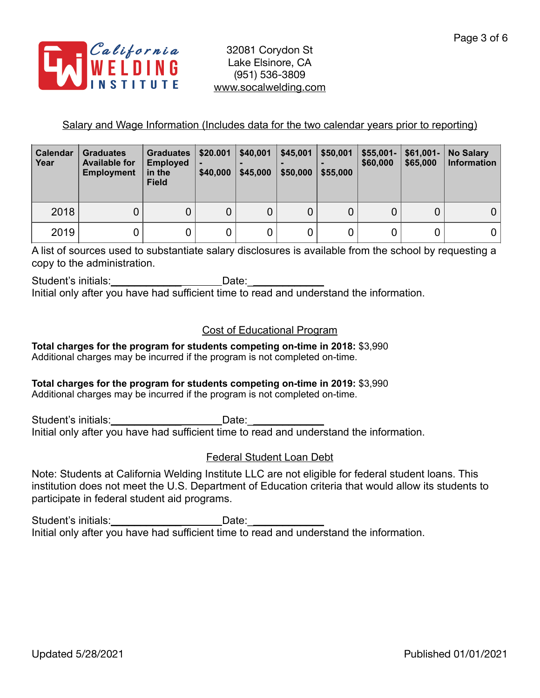

## Salary and Wage Information (Includes data for the two calendar years prior to reporting)

| <b>Calendar</b><br>Year | <b>Graduates</b><br><b>Available for</b><br><b>Employment</b> | <b>Graduates</b><br><b>Employed</b><br>in the<br><b>Field</b> | \$20.001<br>\$40,000 | \$40,001<br>\$45,000 | \$45,001<br>\$50,000 | \$50,001<br>\$55,000 | $$55,001-$<br>\$60,000 | $$61,001-$<br>\$65,000 | <b>No Salary</b><br><b>Information</b> |
|-------------------------|---------------------------------------------------------------|---------------------------------------------------------------|----------------------|----------------------|----------------------|----------------------|------------------------|------------------------|----------------------------------------|
| 2018                    |                                                               | 0                                                             | 0                    | 0                    | 0                    |                      | 0                      | 0                      |                                        |
| 2019                    |                                                               | 0                                                             | 0                    | 0                    | $\mathbf 0$          |                      |                        | 0                      |                                        |

A list of sources used to substantiate salary disclosures is available from the school by requesting a copy to the administration.

Student's initials:\_\_\_\_\_\_\_\_\_\_\_\_\_\_\_\_\_\_\_\_\_\_\_\_\_\_Date:\_\_\_\_\_\_\_\_\_\_\_\_\_\_\_\_\_\_\_\_\_\_\_\_\_\_\_\_\_\_ Initial only after you have had sufficient time to read and understand the information.

## Cost of Educational Program

**Total charges for the program for students competing on-time in 2018:** \$3,990 Additional charges may be incurred if the program is not completed on-time.

# **Total charges for the program for students competing on-time in 2019:** \$3,990

Additional charges may be incurred if the program is not completed on-time.

Student's initials:\_\_\_\_\_\_\_\_\_\_\_\_\_\_\_\_\_\_\_\_\_\_\_\_\_\_\_Date:\_\_\_\_\_\_\_\_\_\_\_\_\_\_\_\_\_\_\_\_\_\_\_\_\_\_\_\_\_ Initial only after you have had sufficient time to read and understand the information.

## Federal Student Loan Debt

Note: Students at California Welding Institute LLC are not eligible for federal student loans. This institution does not meet the U.S. Department of Education criteria that would allow its students to participate in federal student aid programs.

Student's initials:\_\_\_\_\_\_\_\_\_\_\_\_\_\_\_\_\_\_\_\_\_\_\_\_\_Date:\_\_\_\_\_\_\_\_\_\_\_\_\_\_\_\_\_\_\_\_\_\_\_\_\_\_\_\_\_\_\_ Initial only after you have had sufficient time to read and understand the information.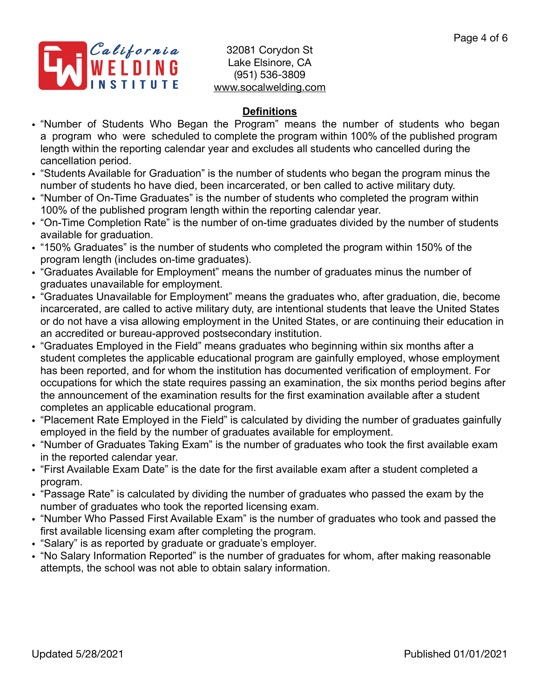

# **Definitions**

- "Number of Students Who Began the Program" means the number of students who began a program who were scheduled to complete the program within 100% of the published program length within the reporting calendar year and excludes all students who cancelled during the cancellation period.
- "Students Available for Graduation" is the number of students who began the program minus the number of students ho have died, been incarcerated, or ben called to active military duty.
- "Number of On-Time Graduates" is the number of students who completed the program within 100% of the published program length within the reporting calendar year.
- "On-Time Completion Rate" is the number of on-time graduates divided by the number of students available for graduation.
- "150% Graduates" is the number of students who completed the program within 150% of the program length (includes on-time graduates).
- "Graduates Available for Employment" means the number of graduates minus the number of graduates unavailable for employment.
- "Graduates Unavailable for Employment" means the graduates who, after graduation, die, become incarcerated, are called to active military duty, are intentional students that leave the United States or do not have a visa allowing employment in the United States, or are continuing their education in an accredited or bureau-approved postsecondary institution.
- "Graduates Employed in the Field" means graduates who beginning within six months after a student completes the applicable educational program are gainfully employed, whose employment has been reported, and for whom the institution has documented verification of employment. For occupations for which the state requires passing an examination, the six months period begins after the announcement of the examination results for the first examination available after a student completes an applicable educational program.
- "Placement Rate Employed in the Field" is calculated by dividing the number of graduates gainfully employed in the field by the number of graduates available for employment.
- "Number of Graduates Taking Exam" is the number of graduates who took the first available exam in the reported calendar year.
- "First Available Exam Date" is the date for the first available exam after a student completed a program.
- "Passage Rate" is calculated by dividing the number of graduates who passed the exam by the number of graduates who took the reported licensing exam.
- "Number Who Passed First Available Exam" is the number of graduates who took and passed the first available licensing exam after completing the program.
- "Salary" is as reported by graduate or graduate's employer.
- "No Salary Information Reported" is the number of graduates for whom, after making reasonable attempts, the school was not able to obtain salary information.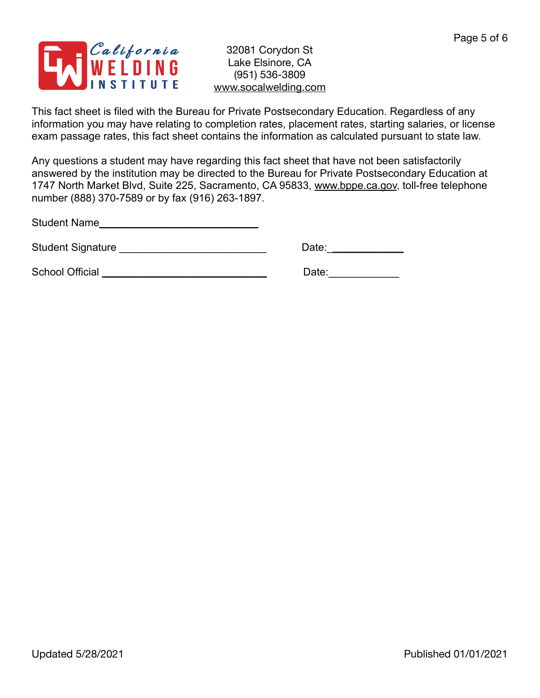

This fact sheet is filed with the Bureau for Private Postsecondary Education. Regardless of any information you may have relating to completion rates, placement rates, starting salaries, or license exam passage rates, this fact sheet contains the information as calculated pursuant to state law.

Any questions a student may have regarding this fact sheet that have not been satisfactorily answered by the institution may be directed to the Bureau for Private Postsecondary Education at 1747 North Market Blvd, Suite 225, Sacramento, CA 95833, [www.bppe.ca.gov](http://www.bppe.ca.gov), toll-free telephone number (888) 370-7589 or by fax (916) 263-1897.

Student Name\_\_\_\_\_\_\_\_\_\_\_\_\_\_\_\_\_\_\_\_\_\_\_\_\_\_\_

Student Signature \_\_\_\_\_\_\_\_\_\_\_\_\_\_\_\_\_\_\_\_\_\_\_\_\_ Date:\_\_\_\_\_\_\_\_\_\_\_\_\_

School Official \_\_\_\_\_\_\_\_\_\_\_\_\_\_\_\_\_\_\_\_\_\_\_\_\_\_\_\_ Date:\_\_\_\_\_\_\_\_\_\_\_\_